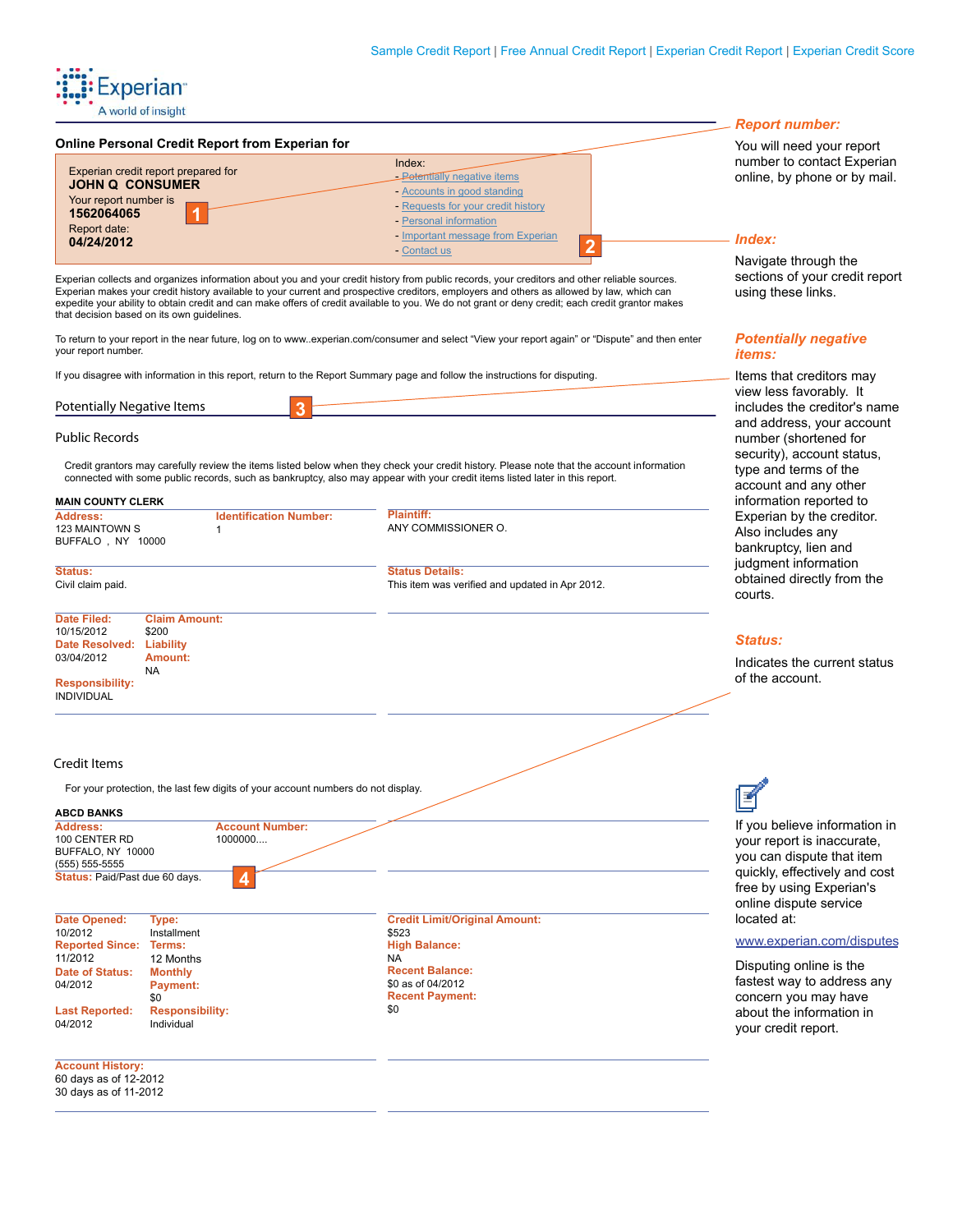### **Online Personal Credit Report from Experian for**

| Experian credit report prepared for<br><b>JOHN Q CONSUMER</b><br>Your report number is | Index:<br><b>Petentially negative items</b><br>- Accounts in good standing<br>- Requests for your credit history | numbe<br>online               |
|----------------------------------------------------------------------------------------|------------------------------------------------------------------------------------------------------------------|-------------------------------|
| 1562064065<br>Report date:<br>04/24/2012                                               | - Personal information<br>- Important message from Experian<br>- Contact us                                      | Index<br>$N \sim \frac{1}{2}$ |

Experian collects and organizes information about you and your credit history from public records, your creditors and other reliable sources. Experian makes your credit history available to your current and prospective creditors, employers and others as allowed by law, which can expedite your ability to obtain credit and can make offers of credit available to you. We do not grant or deny credit; each credit grantor makes that decision based on its own guidelines.

To return to your report in the near future, log on to www..experian.com/consumer and select "View your report again" or "Dispute" and then enter your report number.

If you disagree with information in this report, return to the Report Summary page and follow the instructions for disputing.

| Potentia<br>- - - - -<br><b>INF</b><br>uenis.<br>l IV F<br>، اصل<br>udii v | .<br><b>In</b> |
|----------------------------------------------------------------------------|----------------|
|                                                                            | --             |

# **Public Records**

Credit grantors may carefully review the items listed below when they check your credit history. Please note that the account information connected with some public records, such as bankruptcy, also may appear with your credit items listed later in this report.

| <b>MAIN COUNTY CLERK</b>                                                                                                                                                                                                                       |                                                                                  |                                                                                                                                                                    | information reported to                                                                                                                                                         |
|------------------------------------------------------------------------------------------------------------------------------------------------------------------------------------------------------------------------------------------------|----------------------------------------------------------------------------------|--------------------------------------------------------------------------------------------------------------------------------------------------------------------|---------------------------------------------------------------------------------------------------------------------------------------------------------------------------------|
| <b>Address:</b><br>123 MAINTOWN S<br>BUFFALO, NY 10000                                                                                                                                                                                         | <b>Identification Number:</b><br>1                                               | Plaintiff:<br>ANY COMMISSIONER O.                                                                                                                                  | Experian by the creditor.<br>Also includes any<br>bankruptcy, lien and                                                                                                          |
| Status:<br>Civil claim paid.                                                                                                                                                                                                                   |                                                                                  | <b>Status Details:</b><br>This item was verified and updated in Apr 2012.                                                                                          | judgment information<br>obtained directly from the<br>courts.                                                                                                                   |
| <b>Date Filed:</b><br>10/15/2012<br>\$200<br>Date Resolved: Liability<br>03/04/2012<br>Amount:<br><b>NA</b><br><b>Responsibility:</b><br><b>INDIVIDUAL</b>                                                                                     | <b>Claim Amount:</b>                                                             |                                                                                                                                                                    | <b>Status:</b><br>Indicates the current status<br>of the account.                                                                                                               |
| <b>Credit Items</b>                                                                                                                                                                                                                            | For your protection, the last few digits of your account numbers do not display. |                                                                                                                                                                    |                                                                                                                                                                                 |
| <b>ABCD BANKS</b><br>Address:<br>100 CENTER RD<br>BUFFALO, NY 10000<br>$(555) 555-5555$<br>Status: Paid/Past due 60 days.                                                                                                                      | <b>Account Number:</b><br>1000000                                                |                                                                                                                                                                    | If you believe information in<br>your report is inaccurate,<br>you can dispute that item<br>quickly, effectively and cost<br>free by using Experian's<br>online dispute service |
| <b>Date Opened:</b><br>Type:<br>10/2012<br>Installment<br><b>Reported Since:</b><br>Terms:<br>11/2012<br>12 Months<br><b>Date of Status:</b><br><b>Monthly</b><br>04/2012<br>Payment:<br>\$0<br><b>Last Reported:</b><br>04/2012<br>Individual | <b>Responsibility:</b>                                                           | <b>Credit Limit/Original Amount:</b><br>\$523<br><b>High Balance:</b><br><b>NA</b><br><b>Recent Balance:</b><br>\$0 as of 04/2012<br><b>Recent Payment:</b><br>\$0 | located at:<br>www.experian.com/disputes<br>Disputing online is the<br>fastest way to address any<br>concern you may have<br>about the information in<br>your credit report.    |
| <b>Account History:</b><br>60 days as of 12-2012<br>30 days as of 11-2012                                                                                                                                                                      |                                                                                  |                                                                                                                                                                    |                                                                                                                                                                                 |

# *Report number:*

You will need your report er to contact Experian by phone or by mail.

### *Index:*

Navigate through the sections of your credit report using these links.

## *Potentially negative items:*

Items that creditors may view less favorably. It cludes the creditor's name and address, your account number (shortened for security), account status, type and terms of the account and any other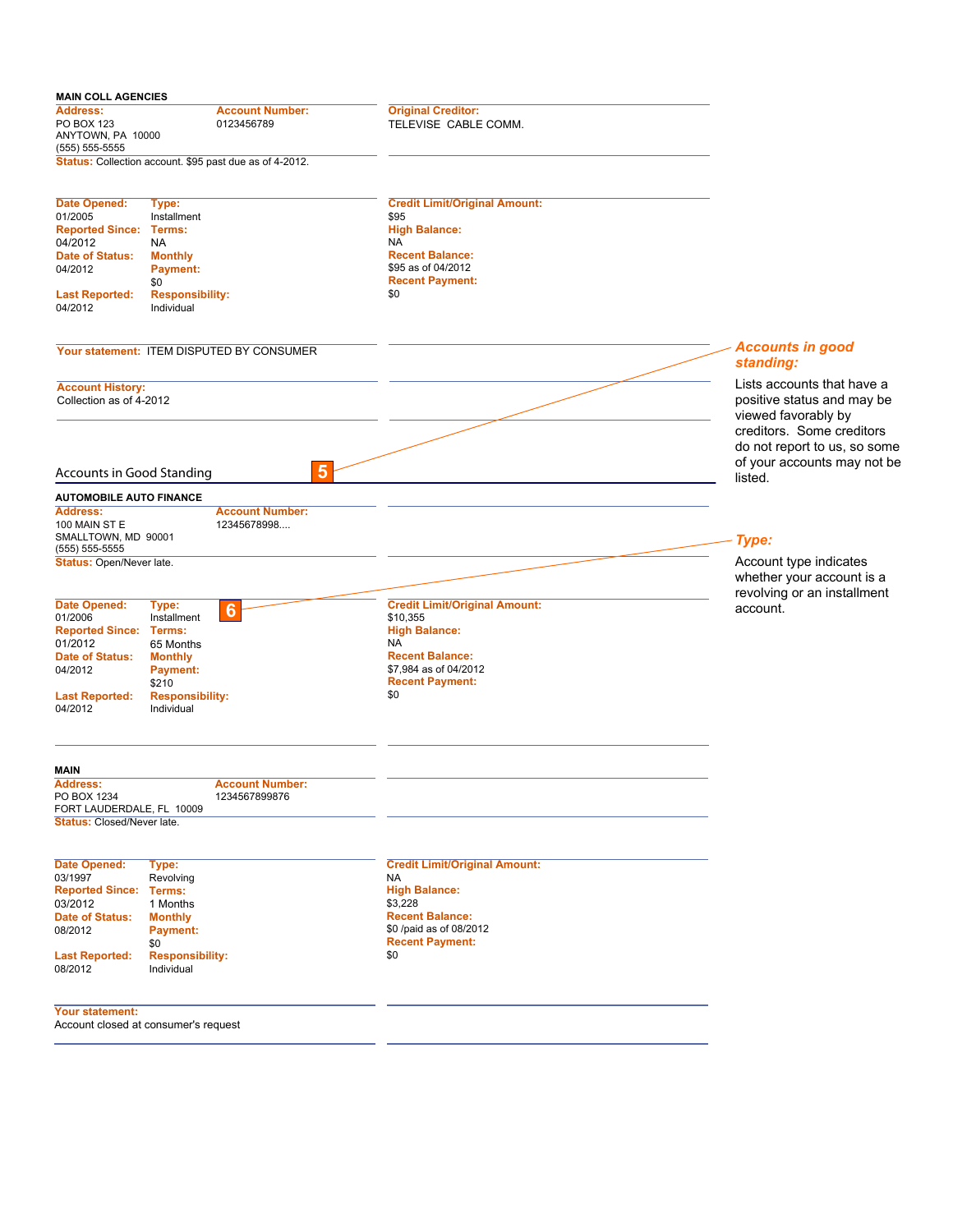| <b>MAIN COLL AGENCIES</b>                                            |                                                         |                                                   |                                                                                    |
|----------------------------------------------------------------------|---------------------------------------------------------|---------------------------------------------------|------------------------------------------------------------------------------------|
| <b>Address:</b><br>PO BOX 123<br>ANYTOWN, PA 10000<br>(555) 555-5555 | <b>Account Number:</b><br>0123456789                    | <b>Original Creditor:</b><br>TELEVISE CABLE COMM. |                                                                                    |
|                                                                      | Status: Collection account. \$95 past due as of 4-2012. |                                                   |                                                                                    |
| Date Opened:<br>01/2005                                              | Type:<br>Installment                                    | <b>Credit Limit/Original Amount:</b><br>\$95      |                                                                                    |
| <b>Reported Since:</b>                                               | Terms:                                                  | <b>High Balance:</b>                              |                                                                                    |
| 04/2012<br>Date of Status:                                           | NA.<br><b>Monthly</b>                                   | <b>NA</b><br><b>Recent Balance:</b>               |                                                                                    |
| 04/2012                                                              | <b>Payment:</b>                                         | \$95 as of 04/2012                                |                                                                                    |
|                                                                      | \$0                                                     | <b>Recent Payment:</b>                            |                                                                                    |
| <b>Last Reported:</b><br>04/2012                                     | <b>Responsibility:</b><br>Individual                    | \$0                                               |                                                                                    |
|                                                                      |                                                         |                                                   |                                                                                    |
|                                                                      | Your statement: ITEM DISPUTED BY CONSUMER               |                                                   | <b>Accounts in good</b><br>standing:                                               |
| <b>Account History:</b><br>Collection as of 4-2012                   |                                                         |                                                   | Lists accounts that have a<br>positive status and may be<br>viewed favorably by    |
|                                                                      |                                                         |                                                   | creditors. Some creditors<br>do not report to us, so some                          |
| <b>Accounts in Good Standing</b>                                     | 5                                                       |                                                   | of your accounts may not be<br>listed.                                             |
| <b>AUTOMOBILE AUTO FINANCE</b>                                       |                                                         |                                                   |                                                                                    |
| <b>Address:</b><br>100 MAIN ST E<br>SMALLTOWN, MD 90001              | <b>Account Number:</b><br>12345678998                   |                                                   | Type:                                                                              |
| (555) 555-5555                                                       |                                                         |                                                   |                                                                                    |
| Status: Open/Never late.                                             |                                                         |                                                   | Account type indicates<br>whether your account is a<br>revolving or an installment |
| Date Opened:                                                         | Type:<br>$6\phantom{1}6$                                | <b>Credit Limit/Original Amount:</b>              | account.                                                                           |
| 01/2006                                                              | Installment                                             | \$10,355                                          |                                                                                    |
| <b>Reported Since: Terms:</b>                                        |                                                         | <b>High Balance:</b>                              |                                                                                    |
| 01/2012                                                              | 65 Months                                               | NA                                                |                                                                                    |
| Date of Status:                                                      | <b>Monthly</b>                                          | <b>Recent Balance:</b>                            |                                                                                    |
| 04/2012                                                              | Payment:                                                | \$7,984 as of 04/2012                             |                                                                                    |
|                                                                      | \$210                                                   | <b>Recent Payment:</b>                            |                                                                                    |
| <b>Last Reported:</b><br>04/2012                                     | <b>Responsibility:</b><br>Individual                    | \$0                                               |                                                                                    |
| <b>MAIN</b>                                                          |                                                         |                                                   |                                                                                    |
| <b>Address:</b><br>PO BOX 1234<br>FORT LAUDERDALE, FL 10009          | <b>Account Number:</b><br>1234567899876                 |                                                   |                                                                                    |
| Status: Closed/Never late.                                           |                                                         |                                                   |                                                                                    |
| Date Opened:                                                         | Type:                                                   | <b>Credit Limit/Original Amount:</b>              |                                                                                    |
| 03/1997                                                              | Revolving                                               | NA                                                |                                                                                    |
| <b>Reported Since: Terms:</b>                                        |                                                         | <b>High Balance:</b>                              |                                                                                    |
| 03/2012                                                              | 1 Months                                                | \$3,228                                           |                                                                                    |
| Date of Status:                                                      | <b>Monthly</b>                                          | <b>Recent Balance:</b>                            |                                                                                    |
| 08/2012                                                              | <b>Payment:</b>                                         | \$0 /paid as of 08/2012                           |                                                                                    |
|                                                                      | \$0                                                     | <b>Recent Payment:</b><br>\$0                     |                                                                                    |
| <b>Last Reported:</b><br>08/2012                                     | <b>Responsibility:</b><br>Individual                    |                                                   |                                                                                    |
| Your statement:                                                      | Account closed at consumer's request                    |                                                   |                                                                                    |
|                                                                      |                                                         |                                                   |                                                                                    |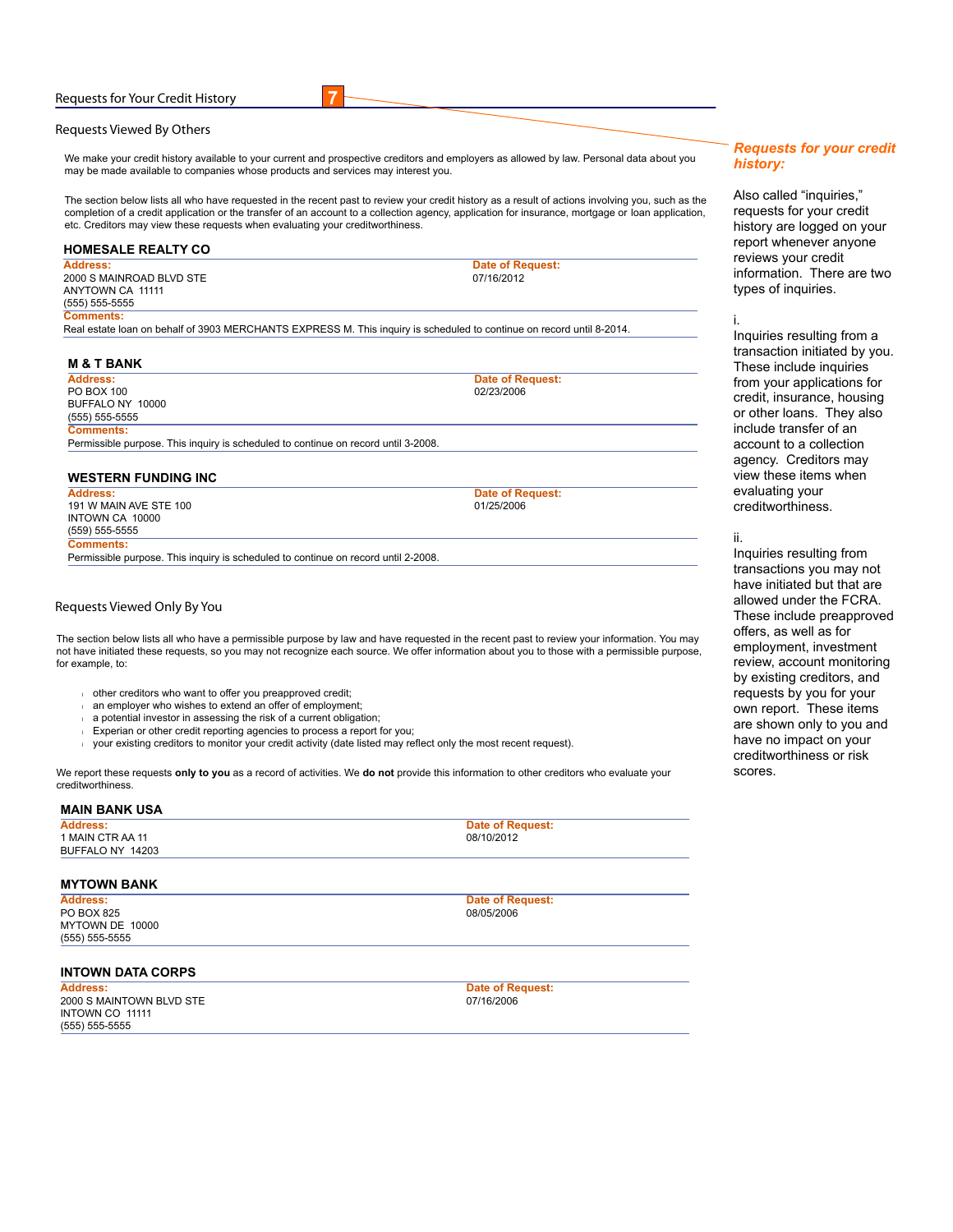### **Requests for Your Credit History**

### **Requests Viewed By Others**

We make your credit history available to your current and prospective creditors and employers as allowed by law. Personal data about you may be made available to companies whose products and services may interest you.

**7**

The section below lists all who have requested in the recent past to review your credit history as a result of actions involving you, such as the completion of a credit application or the transfer of an account to a collection agency, application for insurance, mortgage or loan application, etc. Creditors may view these requests when evaluating your creditworthiness.

#### **HOMESALE REALTY CO Address:** 2000 S MAINROAD BLVD STE ANYTOWN CA 11111 (555) 555-5555 **Date of Request:**  07/16/2012

**Comments:** Real estate loan on behalf of 3903 MERCHANTS EXPRESS M. This inquiry is scheduled to continue on record until 8-2014.

#### **M & T BANK**

**Address:** PO BOX 100 BUFFALO NY 10000 (555) 555-5555 **Comments:**

Permissible purpose. This inquiry is scheduled to continue on record until 3-2008.

# **WESTERN FUNDING INC**

**Address:** 191 W MAIN AVE STE 100 INTOWN CA 10000 (559) 555-5555 **Comments:** Permissible purpose. This inquiry is scheduled to continue on record until 2-2008.

**Date of Request:**  01/25/2006

**Date of Request:**  02/23/2006

## **Requests Viewed Only By You**

The section below lists all who have a permissible purpose by law and have requested in the recent past to review your information. You may not have initiated these requests, so you may not recognize each source. We offer information about you to those with a permissible purpose, for example, to:

- <sup>l</sup> other creditors who want to offer you preapproved credit;
- an employer who wishes to extend an offer of employment;
- a potential investor in assessing the risk of a current obligation;
- Experian or other credit reporting agencies to process a report for you;
- l your existing creditors to monitor your credit activity (date listed may reflect only the most recent request).

We report these requests **only to you** as a record of activities. We **do not** provide this information to other creditors who evaluate your creditworthiness.

#### **MAIN BANK USA**

| <b>Address:</b>  | Date of Request: |
|------------------|------------------|
| 1 MAIN CTR AA 11 | 08/10/2012       |
| BUFFALO NY 14203 |                  |

# **MYTOWN BANK**

**Address:** PO BOX 825 MYTOWN DE 10000 (555) 555-5555

**Date of Request:**  08/05/2006

### **INTOWN DATA CORPS**

**Address:** 2000 S MAINTOWN BLVD STE INTOWN CO 11111 (555) 555-5555

**Date of Request:**  07/16/2006

# *Requests for your credit history:*

Also called "inquiries," requests for your credit history are logged on your report whenever anyone reviews your credit information. There are two types of inquiries.

### i.

Inquiries resulting from a transaction initiated by you. These include inquiries from your applications for credit, insurance, housing or other loans. They also include transfer of an account to a collection agency. Creditors may view these items when evaluating your creditworthiness.

#### ii.

Inquiries resulting from transactions you may not have initiated but that are allowed under the FCRA. These include preapproved offers, as well as for employment, investment review, account monitoring by existing creditors, and requests by you for your own report. These items are shown only to you and have no impact on your creditworthiness or risk scores.